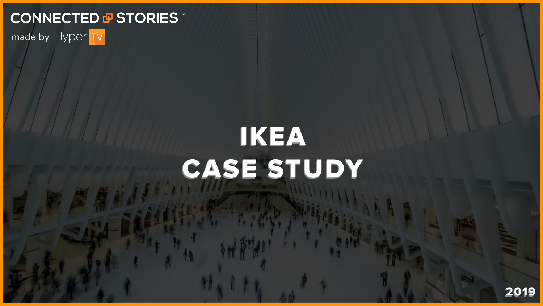#### CONNECTED **® STORIES™** made by Hyper TV



 $\frac{1}{2}$ 



# IKEA CASE STUDY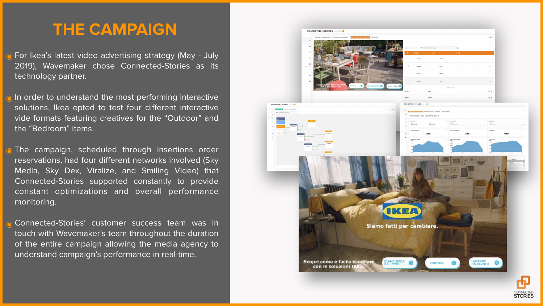#### **THE CAMPAIGN**

For Ikea's latest video advertising strategy (May - July 2019), Wavemaker chose Connected-Stories as its technology partner.

In order to understand the most performing interactive solutions, Ikea opted to test four different interactive vide formats featuring creatives for the "Outdoor" and the "Bedroom" items.

The campaign, scheduled through insertions order reservations, had four different networks involved (Sky Media, Sky Dex, Viralize, and Smiling Video) that Connected-Stories supported constantly to provide constant optimizations and overall performance monitoring.

Connected-Stories' customer success team was in touch with Wavemaker's team throughout the duration of the entire campaign allowing the media agency to understand campaign's performance in real-time.

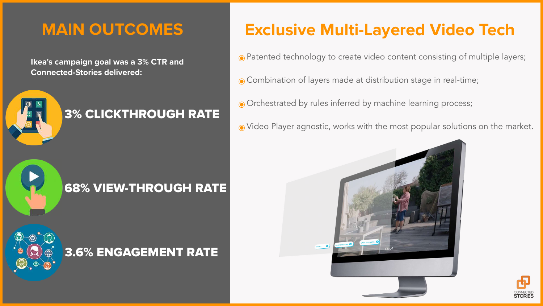#### **MAIN OUTCOMES**

**Ikea's campaign goal was a 3% CTR and Connected-Stories delivered:**







NGAGEMENT

### **Exclusive Multi-Layered Video Tech**

- ๏Patented technology to create video content consisting of multiple layers;
- ๏Combination of layers made at distribution stage in real-time;
- ๏Orchestrated by rules inferred by machine learning process;
- ๏Video Player agnostic, works with the most popular solutions on the market.







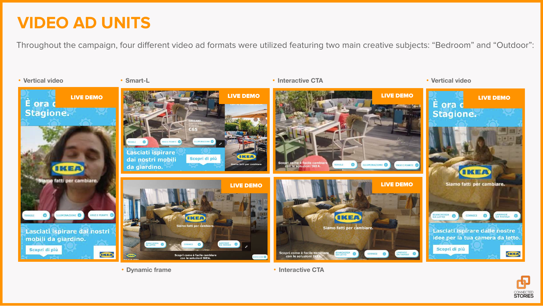#### **VIDEO AD UNITS**



#### Throughout the campaign, four different video ad formats were utilized featuring two main creative subjects: "Bedroom" and "Outdoor":



- **• Vertical video • Smart-L • Interactive CTA • Vertical video**
- 



**• Dynamic frame • Interactive CTA**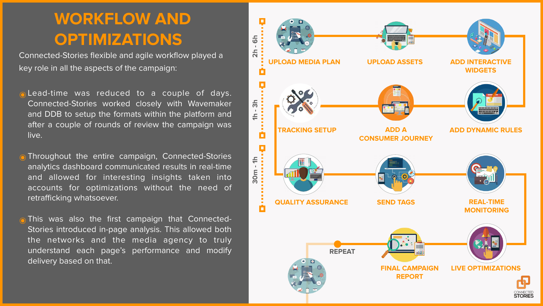## **WORKFLOW AND OPTIMIZATIONS**



Connected-Stories flexible and agile workflow played a key role in all the aspects of the campaign:

- ๏Lead-time was reduced to a couple of days. Connected-Stories worked closely with Wavemaker and DDB to setup the formats within the platform and after a couple of rounds of review the campaign was live.
- **Throughout the entire campaign, Connected-Stories** analytics dashboard communicated results in real-time and allowed for interesting insights taken into accounts for optimizations without the need of retrafficking whatsoever.
- ๏This was also the first campaign that Connected-Stories introduced in-page analysis. This allowed both the networks and the media agency to truly understand each page's performance and modify delivery based on that.